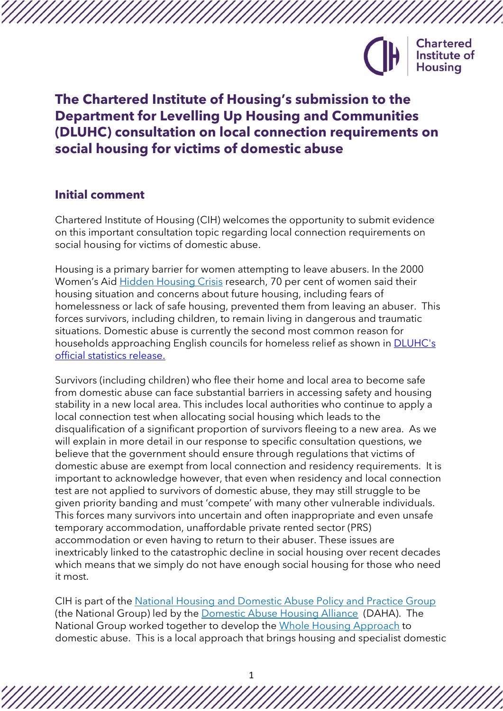

# **The Chartered Institute of Housing's submission to the Department for Levelling Up Housing and Communities (DLUHC) consultation on local connection requirements on social housing for victims of domestic abuse**

# **Initial comment**

Chartered Institute of Housing (CIH) welcomes the opportunity to submit evidence on this important consultation topic regarding local connection requirements on social housing for victims of domestic abuse.

Housing is a primary barrier for women attempting to leave abusers. In the 2000 Women's Aid [Hidden Housing Crisis](https://www.womensaid.org.uk/wp-content/uploads/2020/06/The-Domestic-Abuse-Report-2020-The-Hidden-Housing-Crisis.pdf) research, 70 per cent of women said their housing situation and concerns about future housing, including fears of homelessness or lack of safe housing, prevented them from leaving an abuser. This forces survivors, including children, to remain living in dangerous and traumatic situations. Domestic abuse is currently the second most common reason for households approaching English councils for homeless relief as shown in **DLUHC's** [official statistics release.](https://assets.publishing.service.gov.uk/government/uploads/system/uploads/attachment_data/file/1050291/Statutory_Homelessness_Stats_Release_July-September_2021.pdf)

Survivors (including children) who flee their home and local area to become safe from domestic abuse can face substantial barriers in accessing safety and housing stability in a new local area. This includes local authorities who continue to apply a local connection test when allocating social housing which leads to the disqualification of a significant proportion of survivors fleeing to a new area. As we will explain in more detail in our response to specific consultation questions, we believe that the government should ensure through regulations that victims of domestic abuse are exempt from local connection and residency requirements. It is important to acknowledge however, that even when residency and local connection test are not applied to survivors of domestic abuse, they may still struggle to be given priority banding and must 'compete' with many other vulnerable individuals. This forces many survivors into uncertain and often inappropriate and even unsafe temporary accommodation, unaffordable private rented sector (PRS) accommodation or even having to return to their abuser. These issues are inextricably linked to the catastrophic decline in social housing over recent decades which means that we simply do not have enough social housing for those who need it most.

CIH is part of the [National Housing and Domestic Abuse Policy and Practice Group](https://www.dahalliance.org.uk/what-we-do/national-policy-practice-group/what-is-the-national-policy-practice-group/) (the National Group) led by the [Domestic Abuse Housing Alliance](https://www.dahalliance.org.uk/) (DAHA). The National Group worked together to develop the [Whole Housing Approach](https://www.dahalliance.org.uk/what-we-do/whole-housing-approach/what-is-the-whole-housing-approach/) to domestic abuse. This is a local approach that brings housing and specialist domestic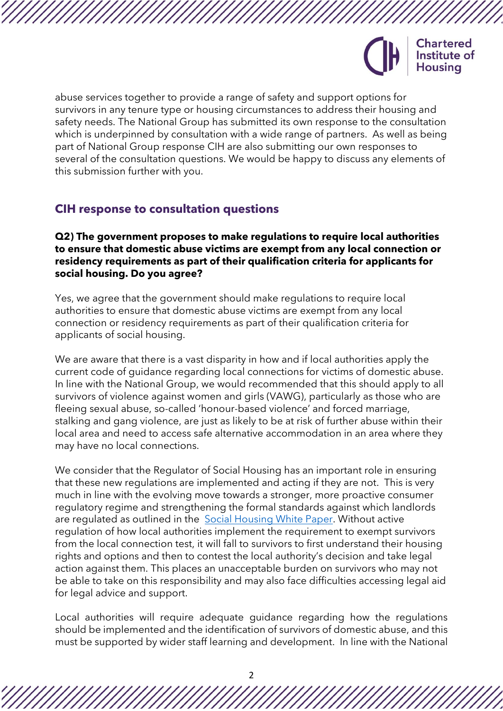

abuse services together to provide a range of safety and support options for survivors in any tenure type or housing circumstances to address their housing and safety needs. The National Group has submitted its own response to the consultation which is underpinned by consultation with a wide range of partners. As well as being part of National Group response CIH are also submitting our own responses to several of the consultation questions. We would be happy to discuss any elements of this submission further with you.

# **CIH response to consultation questions**

#### **Q2) The government proposes to make regulations to require local authorities to ensure that domestic abuse victims are exempt from any local connection or residency requirements as part of their qualification criteria for applicants for social housing. Do you agree?**

Yes, we agree that the government should make regulations to require local authorities to ensure that domestic abuse victims are exempt from any local connection or residency requirements as part of their qualification criteria for applicants of social housing.

We are aware that there is a vast disparity in how and if local authorities apply the current code of guidance regarding local connections for victims of domestic abuse. In line with the National Group, we would recommended that this should apply to all survivors of violence against women and girls (VAWG), particularly as those who are fleeing sexual abuse, so-called 'honour-based violence' and forced marriage, stalking and gang violence, are just as likely to be at risk of further abuse within their local area and need to access safe alternative accommodation in an area where they may have no local connections.

We consider that the Regulator of Social Housing has an important role in ensuring that these new regulations are implemented and acting if they are not. This is very much in line with the evolving move towards a stronger, more proactive consumer regulatory regime and strengthening the formal standards against which landlords are regulated as outlined in the [Social Housing White Paper.](https://assets.publishing.service.gov.uk/government/uploads/system/uploads/attachment_data/file/936098/The_charter_for_social_housing_residents_-_social_housing_white_paper.pdf) Without active regulation of how local authorities implement the requirement to exempt survivors from the local connection test, it will fall to survivors to first understand their housing rights and options and then to contest the local authority's decision and take legal action against them. This places an unacceptable burden on survivors who may not be able to take on this responsibility and may also face difficulties accessing legal aid for legal advice and support.

Local authorities will require adequate guidance regarding how the regulations should be implemented and the identification of survivors of domestic abuse, and this must be supported by wider staff learning and development. In line with the National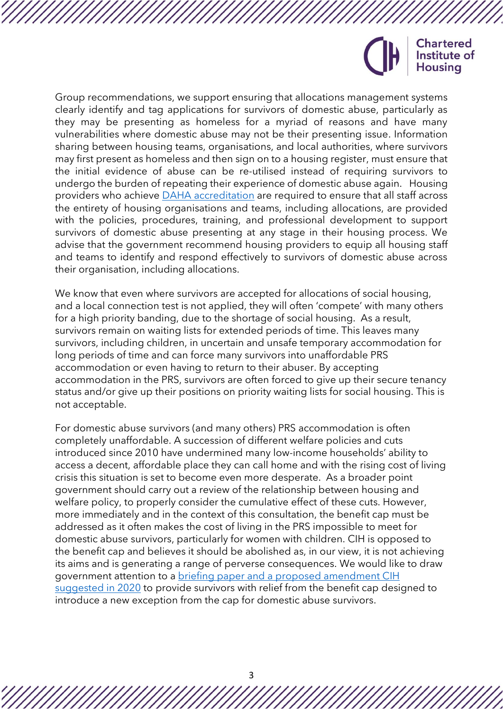

Group recommendations, we support ensuring that allocations management systems clearly identify and tag applications for survivors of domestic abuse, particularly as they may be presenting as homeless for a myriad of reasons and have many vulnerabilities where domestic abuse may not be their presenting issue. Information sharing between housing teams, organisations, and local authorities, where survivors may first present as homeless and then sign on to a housing register, must ensure that the initial evidence of abuse can be re-utilised instead of requiring survivors to undergo the burden of repeating their experience of domestic abuse again. Housing providers who achieve [DAHA accreditation](https://www.dahalliance.org.uk/what-we-do/accreditation-for-housing-providers/) are required to ensure that all staff across the entirety of housing organisations and teams, including allocations, are provided with the policies, procedures, training, and professional development to support survivors of domestic abuse presenting at any stage in their housing process. We advise that the government recommend housing providers to equip all housing staff and teams to identify and respond effectively to survivors of domestic abuse across their organisation, including allocations.

We know that even where survivors are accepted for allocations of social housing, and a local connection test is not applied, they will often 'compete' with many others for a high priority banding, due to the shortage of social housing. As a result, survivors remain on waiting lists for extended periods of time. This leaves many survivors, including children, in uncertain and unsafe temporary accommodation for long periods of time and can force many survivors into unaffordable PRS accommodation or even having to return to their abuser. By accepting accommodation in the PRS, survivors are often forced to give up their secure tenancy status and/or give up their positions on priority waiting lists for social housing. This is not acceptable.

For domestic abuse survivors (and many others) PRS accommodation is often completely unaffordable. A succession of different welfare policies and cuts introduced since 2010 have undermined many low-income households' ability to access a decent, affordable place they can call home and with the rising cost of living crisis this situation is set to become even more desperate. As a broader point government should carry out a review of the relationship between housing and welfare policy, to properly consider the cumulative effect of these cuts. However, more immediately and in the context of this consultation, the benefit cap must be addressed as it often makes the cost of living in the PRS impossible to meet for domestic abuse survivors, particularly for women with children. CIH is opposed to the benefit cap and believes it should be abolished as, in our view, it is not achieving its aims and is generating a range of perverse consequences. We would like to draw government attention to a **briefing paper and a proposed amendment CIH** [suggested in 2020](https://www.cih.org/publications/the-domestic-abuse-bill-and-the-benefit-cap-a-briefing-for-mps) to provide survivors with relief from the benefit cap designed to introduce a new exception from the cap for domestic abuse survivors.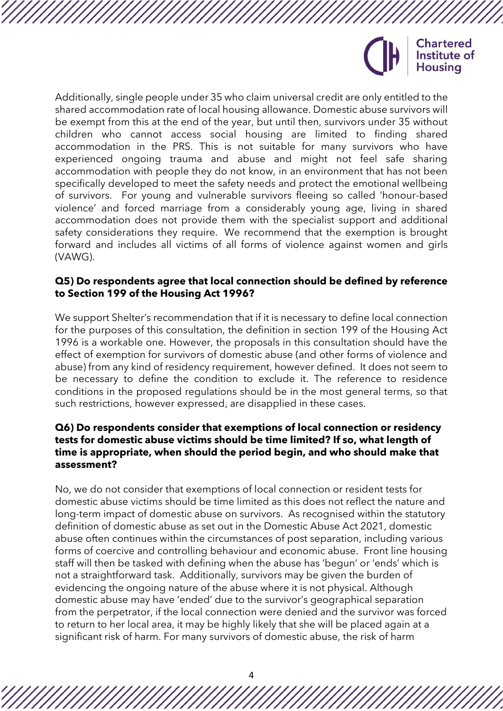

Additionally, single people under 35 who claim universal credit are only entitled to the shared accommodation rate of local housing allowance. Domestic abuse survivors will be exempt from this at the end of the year, but until then, survivors under 35 without children who cannot access social housing are limited to finding shared accommodation in the PRS. This is not suitable for many survivors who have experienced ongoing trauma and abuse and might not feel safe sharing accommodation with people they do not know, in an environment that has not been specifically developed to meet the safety needs and protect the emotional wellbeing of survivors. For young and vulnerable survivors fleeing so called 'honour-based violence' and forced marriage from a considerably young age, living in shared accommodation does not provide them with the specialist support and additional safety considerations they require. We recommend that the exemption is brought forward and includes all victims of all forms of violence against women and girls (VAWG).

#### **Q5) Do respondents agree that local connection should be defined by reference to Section 199 of the Housing Act 1996?**

We support Shelter's recommendation that if it is necessary to define local connection for the purposes of this consultation, the definition in section 199 of the Housing Act 1996 is a workable one. However, the proposals in this consultation should have the effect of exemption for survivors of domestic abuse (and other forms of violence and abuse) from any kind of residency requirement, however defined. It does not seem to be necessary to define the condition to exclude it. The reference to residence conditions in the proposed regulations should be in the most general terms, so that such restrictions, however expressed, are disapplied in these cases.

### **Q6) Do respondents consider that exemptions of local connection or residency tests for domestic abuse victims should be time limited? If so, what length of time is appropriate, when should the period begin, and who should make that assessment?**

No, we do not consider that exemptions of local connection or resident tests for domestic abuse victims should be time limited as this does not reflect the nature and long-term impact of domestic abuse on survivors. As recognised within the statutory definition of domestic abuse as set out in the Domestic Abuse Act 2021, domestic abuse often continues within the circumstances of post separation, including various forms of coercive and controlling behaviour and economic abuse. Front line housing staff will then be tasked with defining when the abuse has 'begun' or 'ends' which is not a straightforward task. Additionally, survivors may be given the burden of evidencing the ongoing nature of the abuse where it is not physical. Although domestic abuse may have 'ended' due to the survivor's geographical separation from the perpetrator, if the local connection were denied and the survivor was forced to return to her local area, it may be highly likely that she will be placed again at a significant risk of harm. For many survivors of domestic abuse, the risk of harm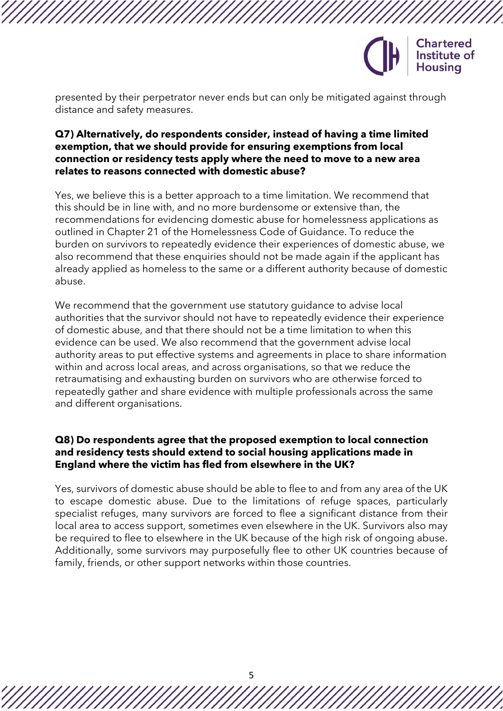

presented by their perpetrator never ends but can only be mitigated against through distance and safety measures.

### **Q7) Alternatively, do respondents consider, instead of having a time limited exemption, that we should provide for ensuring exemptions from local connection or residency tests apply where the need to move to a new area relates to reasons connected with domestic abuse?**

Yes, we believe this is a better approach to a time limitation. We recommend that this should be in line with, and no more burdensome or extensive than, the recommendations for evidencing domestic abuse for homelessness applications as outlined in Chapter 21 of the Homelessness Code of Guidance. To reduce the burden on survivors to repeatedly evidence their experiences of domestic abuse, we also recommend that these enquiries should not be made again if the applicant has already applied as homeless to the same or a different authority because of domestic abuse.

We recommend that the government use statutory guidance to advise local authorities that the survivor should not have to repeatedly evidence their experience of domestic abuse, and that there should not be a time limitation to when this evidence can be used. We also recommend that the government advise local authority areas to put effective systems and agreements in place to share information within and across local areas, and across organisations, so that we reduce the retraumatising and exhausting burden on survivors who are otherwise forced to repeatedly gather and share evidence with multiple professionals across the same and different organisations.

### **Q8) Do respondents agree that the proposed exemption to local connection and residency tests should extend to social housing applications made in England where the victim has fled from elsewhere in the UK?**

Yes, survivors of domestic abuse should be able to flee to and from any area of the UK to escape domestic abuse. Due to the limitations of refuge spaces, particularly specialist refuges, many survivors are forced to flee a significant distance from their local area to access support, sometimes even elsewhere in the UK. Survivors also may be required to flee to elsewhere in the UK because of the high risk of ongoing abuse. Additionally, some survivors may purposefully flee to other UK countries because of family, friends, or other support networks within those countries.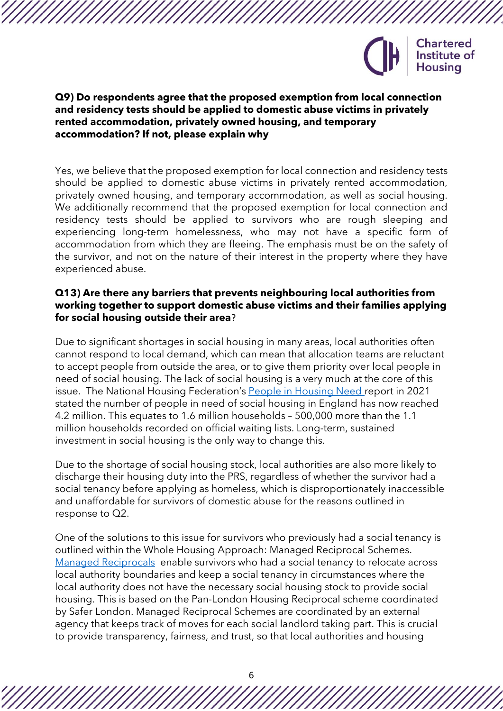

#### **Q9) Do respondents agree that the proposed exemption from local connection and residency tests should be applied to domestic abuse victims in privately rented accommodation, privately owned housing, and temporary accommodation? If not, please explain why**

Yes, we believe that the proposed exemption for local connection and residency tests should be applied to domestic abuse victims in privately rented accommodation, privately owned housing, and temporary accommodation, as well as social housing. We additionally recommend that the proposed exemption for local connection and residency tests should be applied to survivors who are rough sleeping and experiencing long-term homelessness, who may not have a specific form of accommodation from which they are fleeing. The emphasis must be on the safety of the survivor, and not on the nature of their interest in the property where they have experienced abuse.

### **Q13) Are there any barriers that prevents neighbouring local authorities from working together to support domestic abuse victims and their families applying for social housing outside their area**?

Due to significant shortages in social housing in many areas, local authorities often cannot respond to local demand, which can mean that allocation teams are reluctant to accept people from outside the area, or to give them priority over local people in need of social housing. The lack of social housing is a very much at the core of this issue. The National Housing Federation's [People in Housing Need r](https://www.housing.org.uk/resources/people-in-housing-need-2021/)eport in 2021 stated the number of people in need of social housing in England has now reached 4.2 million. This equates to 1.6 million households – 500,000 more than the 1.1 million households recorded on official waiting lists. Long-term, sustained investment in social housing is the only way to change this.

Due to the shortage of social housing stock, local authorities are also more likely to discharge their housing duty into the PRS, regardless of whether the survivor had a social tenancy before applying as homeless, which is disproportionately inaccessible and unaffordable for survivors of domestic abuse for the reasons outlined in response to Q2.

One of the solutions to this issue for survivors who previously had a social tenancy is outlined within the Whole Housing Approach: Managed Reciprocal Schemes. [Managed Reciprocals](https://www.dahalliance.org.uk/media/10660/14_-wha-managed-reciprocals.pdf) enable survivors who had a social tenancy to relocate across local authority boundaries and keep a social tenancy in circumstances where the local authority does not have the necessary social housing stock to provide social housing. This is based on the Pan-London Housing Reciprocal scheme coordinated by Safer London. Managed Reciprocal Schemes are coordinated by an external agency that keeps track of moves for each social landlord taking part. This is crucial to provide transparency, fairness, and trust, so that local authorities and housing